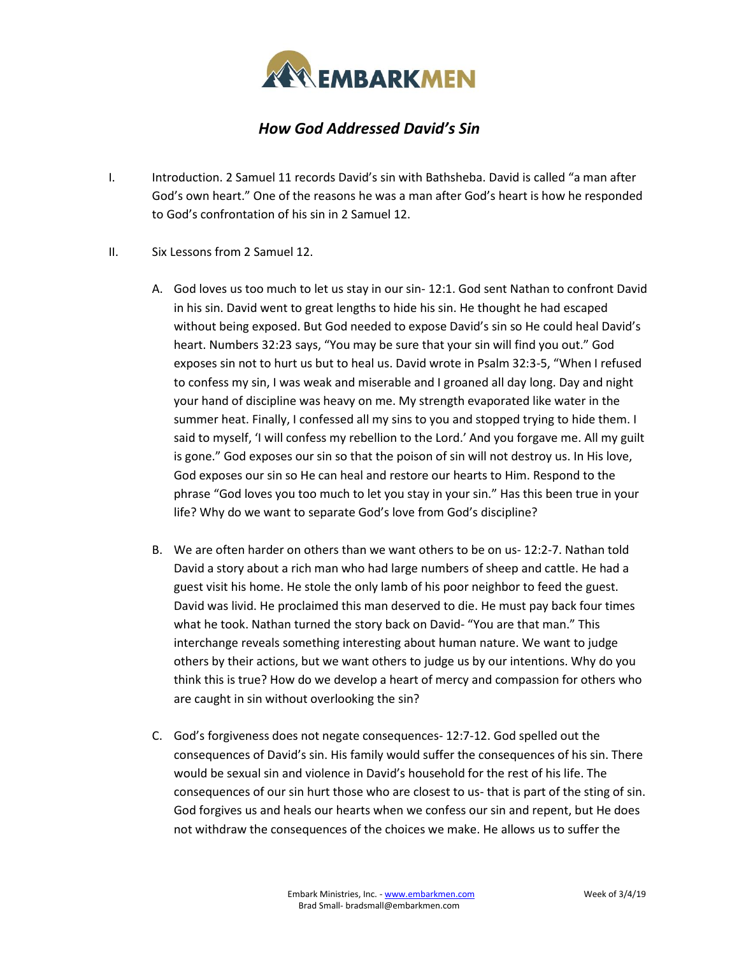

## *How God Addressed David's Sin*

- I. Introduction. 2 Samuel 11 records David's sin with Bathsheba. David is called "a man after God's own heart." One of the reasons he was a man after God's heart is how he responded to God's confrontation of his sin in 2 Samuel 12.
- II. Six Lessons from 2 Samuel 12.
	- A. God loves us too much to let us stay in our sin- 12:1. God sent Nathan to confront David in his sin. David went to great lengths to hide his sin. He thought he had escaped without being exposed. But God needed to expose David's sin so He could heal David's heart. Numbers 32:23 says, "You may be sure that your sin will find you out." God exposes sin not to hurt us but to heal us. David wrote in Psalm 32:3-5, "When I refused to confess my sin, I was weak and miserable and I groaned all day long. Day and night your hand of discipline was heavy on me. My strength evaporated like water in the summer heat. Finally, I confessed all my sins to you and stopped trying to hide them. I said to myself, 'I will confess my rebellion to the Lord.' And you forgave me. All my guilt is gone." God exposes our sin so that the poison of sin will not destroy us. In His love, God exposes our sin so He can heal and restore our hearts to Him. Respond to the phrase "God loves you too much to let you stay in your sin." Has this been true in your life? Why do we want to separate God's love from God's discipline?
	- B. We are often harder on others than we want others to be on us- 12:2-7. Nathan told David a story about a rich man who had large numbers of sheep and cattle. He had a guest visit his home. He stole the only lamb of his poor neighbor to feed the guest. David was livid. He proclaimed this man deserved to die. He must pay back four times what he took. Nathan turned the story back on David- "You are that man." This interchange reveals something interesting about human nature. We want to judge others by their actions, but we want others to judge us by our intentions. Why do you think this is true? How do we develop a heart of mercy and compassion for others who are caught in sin without overlooking the sin?
	- C. God's forgiveness does not negate consequences- 12:7-12. God spelled out the consequences of David's sin. His family would suffer the consequences of his sin. There would be sexual sin and violence in David's household for the rest of his life. The consequences of our sin hurt those who are closest to us- that is part of the sting of sin. God forgives us and heals our hearts when we confess our sin and repent, but He does not withdraw the consequences of the choices we make. He allows us to suffer the